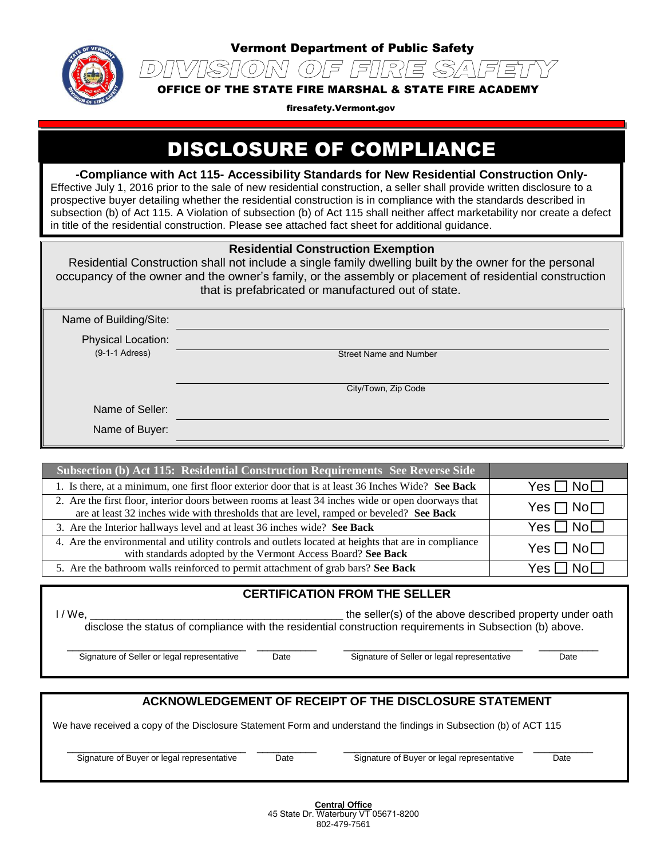

 $\mathcal{D}$ 

Vermont Department of Public Safety

OFFICE OF THE STATE FIRE MARSHAL & STATE FIRE ACADEMY

ISION OF FIRE SAFET

firesafety.Vermont.gov

# DISCLOSURE OF COMPLIANCE

**-Compliance with Act 115- Accessibility Standards for New Residential Construction Only-**Effective July 1, 2016 prior to the sale of new residential construction, a seller shall provide written disclosure to a prospective buyer detailing whether the residential construction is in compliance with the standards described in subsection (b) of Act 115. A Violation of subsection (b) of Act 115 shall neither affect marketability nor create a defect

in title of the residential construction. Please see attached fact sheet for additional guidance.

### **Residential Construction Exemption**

Residential Construction shall not include a single family dwelling built by the owner for the personal occupancy of the owner and the owner's family, or the assembly or placement of residential construction that is prefabricated or manufactured out of state.

| Name of Building/Site:               |                               |
|--------------------------------------|-------------------------------|
| Physical Location:                   |                               |
| $(9-1-1$ Adress)                     | <b>Street Name and Number</b> |
|                                      |                               |
|                                      | City/Town, Zip Code           |
| $\mathbf{r}$<br>$\sim$ $\sim$ $\sim$ |                               |

Name of Seller:

Name of Buyer:

| Subsection (b) Act 115: Residential Construction Requirements See Reverse Side                                                                                                                |                    |
|-----------------------------------------------------------------------------------------------------------------------------------------------------------------------------------------------|--------------------|
| 1. Is there, at a minimum, one first floor exterior door that is at least 36 Inches Wide? See Back                                                                                            | $Yes \Box No \Box$ |
| 2. Are the first floor, interior doors between rooms at least 34 inches wide or open doorways that<br>are at least 32 inches wide with thresholds that are level, ramped or beveled? See Back | $Yes \Box No \Box$ |
| 3. Are the Interior hallways level and at least 36 inches wide? See Back                                                                                                                      | $Yes \Box No \Box$ |
| 4. Are the environmental and utility controls and outlets located at heights that are in compliance<br>with standards adopted by the Vermont Access Board? See Back                           | $Yes \Box No \Box$ |
| 5. Are the bathroom walls reinforced to permit attachment of grab bars? See Back                                                                                                              | $Yes \Box No \Box$ |

### **CERTIFICATION FROM THE SELLER**

I / We, \_\_\_\_\_\_\_\_\_\_\_\_\_\_\_\_\_\_\_\_\_\_\_\_\_\_\_\_\_\_\_\_\_\_\_\_\_\_\_\_\_\_ the seller(s) of the above described property under oath disclose the status of compliance with the residential construction requirements in Subsection (b) above.

Signature of Seller or legal representative Date Signature of Seller or legal representative Date

\_\_\_\_\_\_\_\_\_\_\_\_\_\_\_\_\_\_\_\_\_\_\_\_\_\_\_\_\_\_\_\_\_ \_\_\_\_\_\_\_\_\_\_\_ \_\_\_\_\_\_\_\_\_\_\_\_\_\_\_\_\_\_\_\_\_\_\_\_\_\_\_\_\_\_\_\_\_ \_\_\_\_\_\_\_\_\_\_\_

## **ACKNOWLEDGEMENT OF RECEIPT OF THE DISCLOSURE STATEMENT**

We have received a copy of the Disclosure Statement Form and understand the findings in Subsection (b) of ACT 115

\_\_\_\_\_\_\_\_\_\_\_\_\_\_\_\_\_\_\_\_\_\_\_\_\_\_\_\_\_\_\_\_\_ \_\_\_\_\_\_\_\_\_\_\_ \_\_\_\_\_\_\_\_\_\_\_\_\_\_\_\_\_\_\_\_\_\_\_\_\_\_\_\_\_\_\_\_\_ \_\_\_\_\_\_\_\_\_\_\_ Signature of Buyer or legal representative Date Date Signature of Buyer or legal representative Date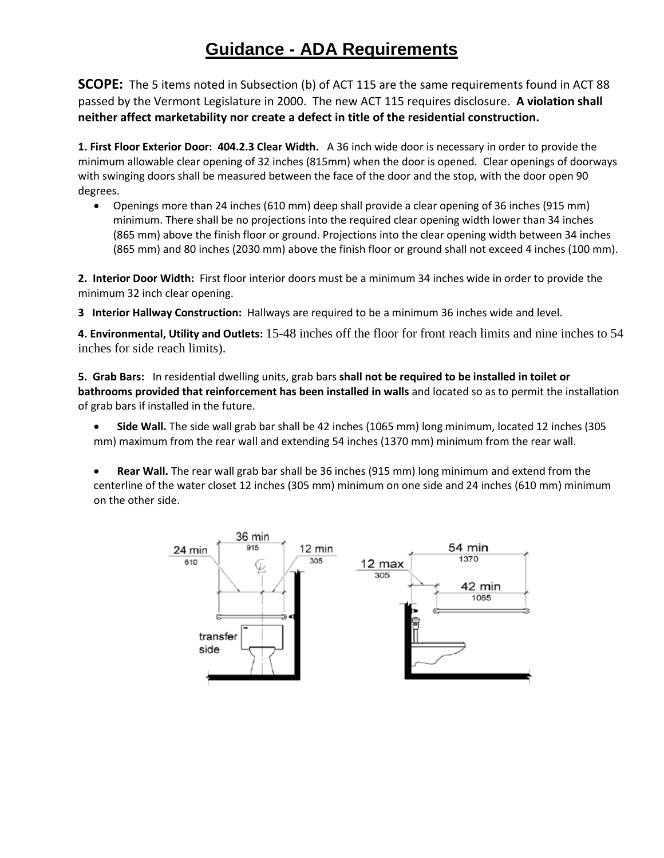# **Guidance - ADA Requirements**

**SCOPE:** The 5 items noted in Subsection (b) of ACT 115 are the same requirements found in ACT 88 passed by the Vermont Legislature in 2000. The new ACT 115 requires disclosure. **A violation shall neither affect marketability nor create a defect in title of the residential construction.** 

**1. First Floor Exterior Door: 404.2.3 Clear Width.** A 36 inch wide door is necessary in order to provide the minimum allowable clear opening of 32 inches (815mm) when the door is opened. Clear openings of doorways with swinging doors shall be measured between the face of the door and the stop, with the door open 90 degrees.

 Openings more than 24 inches (610 mm) deep shall provide a clear opening of 36 inches (915 mm) minimum. There shall be no projections into the required clear opening width lower than 34 inches (865 mm) above the finish floor or ground. Projections into the clear opening width between 34 inches (865 mm) and 80 inches (2030 mm) above the finish floor or ground shall not exceed 4 inches (100 mm).

**2. Interior Door Width:** First floor interior doors must be a minimum 34 inches wide in order to provide the minimum 32 inch clear opening.

**3 Interior Hallway Construction:** Hallways are required to be a minimum 36 inches wide and level.

**4. Environmental, Utility and Outlets:** 15-48 inches off the floor for front reach limits and nine inches to 54 inches for side reach limits).

**5. Grab Bars:** In residential dwelling units, grab bars **shall not be required to be installed in toilet or bathrooms provided that reinforcement has been installed in walls** and located so as to permit the installation of grab bars if installed in the future.

- **Side Wall.** The side wall grab bar shall be 42 inches (1065 mm) long minimum, located 12 inches (305 mm) maximum from the rear wall and extending 54 inches (1370 mm) minimum from the rear wall.
- **Rear Wall.** The rear wall grab bar shall be 36 inches (915 mm) long minimum and extend from the centerline of the water closet 12 inches (305 mm) minimum on one side and 24 inches (610 mm) minimum on the other side.